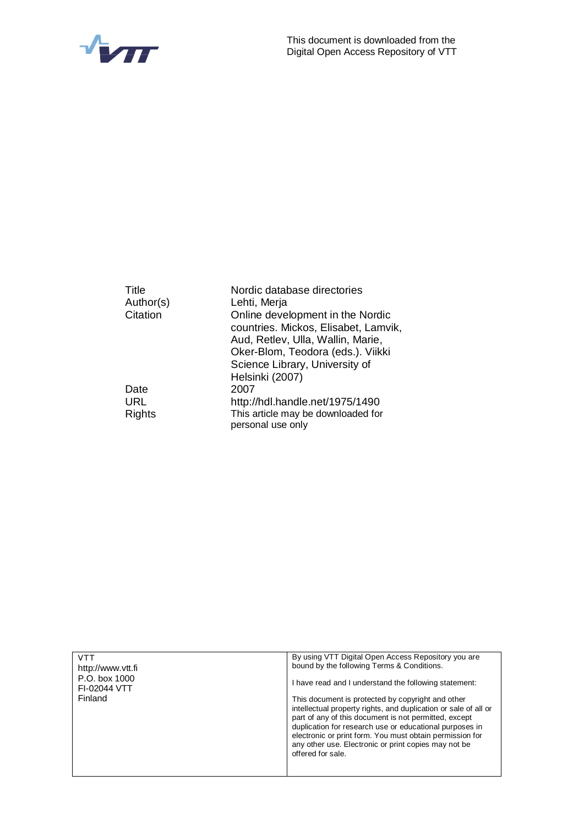



| Title         | Nordic database directories                             |
|---------------|---------------------------------------------------------|
| Author(s)     | Lehti, Merja                                            |
| Citation      | Online development in the Nordic                        |
|               | countries. Mickos, Elisabet, Lamvik,                    |
|               | Aud, Retlev, Ulla, Wallin, Marie,                       |
|               | Oker-Blom, Teodora (eds.). Viikki                       |
|               | Science Library, University of                          |
|               | Helsinki (2007)                                         |
| Date          | 2007                                                    |
| URL           | http://hdl.handle.net/1975/1490                         |
| <b>Rights</b> | This article may be downloaded for<br>personal use only |
|               |                                                         |

| VTT                           | By using VTT Digital Open Access Repository you are                                                              |
|-------------------------------|------------------------------------------------------------------------------------------------------------------|
| http://www.ytt.fi             | bound by the following Terms & Conditions.                                                                       |
| P.O. box 1000<br>FI-02044 VTT | I have read and I understand the following statement:                                                            |
| Finland                       | This document is protected by copyright and other                                                                |
|                               | intellectual property rights, and duplication or sale of all or                                                  |
|                               | part of any of this document is not permitted, except<br>duplication for research use or educational purposes in |
|                               | electronic or print form. You must obtain permission for                                                         |
|                               | any other use. Electronic or print copies may not be                                                             |
|                               | offered for sale.                                                                                                |
|                               |                                                                                                                  |
|                               |                                                                                                                  |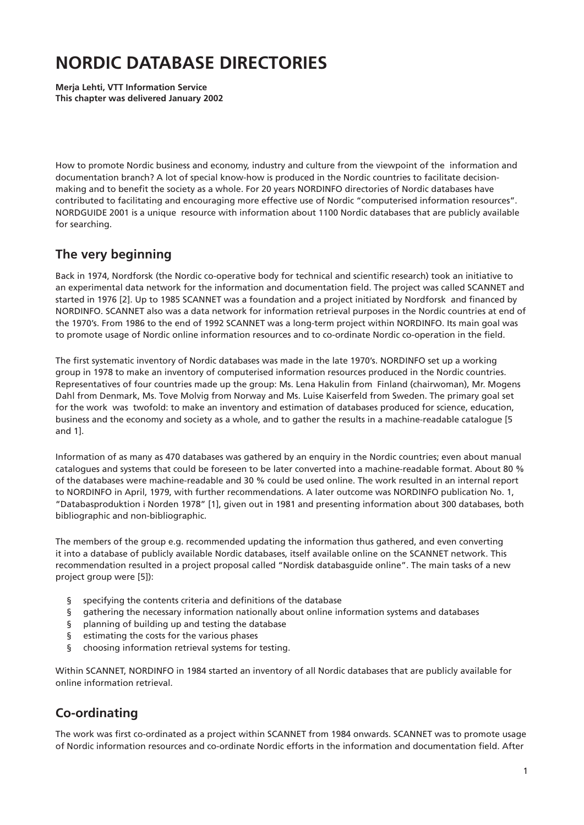# **NORDIC DATABASE DIRECTORIES**

**Merja Lehti, VTT Information Service This chapter was delivered January 2002**

How to promote Nordic business and economy, industry and culture from the viewpoint of the information and documentation branch? A lot of special know-how is produced in the Nordic countries to facilitate decisionmaking and to benefit the society as a whole. For 20 years NORDINFO directories of Nordic databases have contributed to facilitating and encouraging more effective use of Nordic "computerised information resources". NORDGUIDE 2001 is a unique resource with information about 1100 Nordic databases that are publicly available for searching.

# **The very beginning**

Back in 1974, Nordforsk (the Nordic co-operative body for technical and scientific research) took an initiative to an experimental data network for the information and documentation field. The project was called SCANNET and started in 1976 [2]. Up to 1985 SCANNET was a foundation and a project initiated by Nordforsk and financed by NORDINFO. SCANNET also was a data network for information retrieval purposes in the Nordic countries at end of the 1970's. From 1986 to the end of 1992 SCANNET was a long-term project within NORDINFO. Its main goal was to promote usage of Nordic online information resources and to co-ordinate Nordic co-operation in the field.

The first systematic inventory of Nordic databases was made in the late 1970's. NORDINFO set up a working group in 1978 to make an inventory of computerised information resources produced in the Nordic countries. Representatives of four countries made up the group: Ms. Lena Hakulin from Finland (chairwoman), Mr. Mogens Dahl from Denmark, Ms. Tove Molvig from Norway and Ms. Luise Kaiserfeld from Sweden. The primary goal set for the work was twofold: to make an inventory and estimation of databases produced for science, education, business and the economy and society as a whole, and to gather the results in a machine-readable catalogue [5 and 1].

Information of as many as 470 databases was gathered by an enquiry in the Nordic countries; even about manual catalogues and systems that could be foreseen to be later converted into a machine-readable format. About 80 % of the databases were machine-readable and 30 % could be used online. The work resulted in an internal report to NORDINFO in April, 1979, with further recommendations. A later outcome was NORDINFO publication No. 1, "Databasproduktion i Norden 1978" [1], given out in 1981 and presenting information about 300 databases, both bibliographic and non-bibliographic.

The members of the group e.g. recommended updating the information thus gathered, and even converting it into a database of publicly available Nordic databases, itself available online on the SCANNET network. This recommendation resulted in a project proposal called "Nordisk databasguide online". The main tasks of a new project group were [5]):

- § specifying the contents criteria and definitions of the database
- § gathering the necessary information nationally about online information systems and databases
- § planning of building up and testing the database
- § estimating the costs for the various phases
- § choosing information retrieval systems for testing.

Within SCANNET, NORDINFO in 1984 started an inventory of all Nordic databases that are publicly available for online information retrieval.

# **Co-ordinating**

The work was first co-ordinated as a project within SCANNET from 1984 onwards. SCANNET was to promote usage of Nordic information resources and co-ordinate Nordic efforts in the information and documentation field. After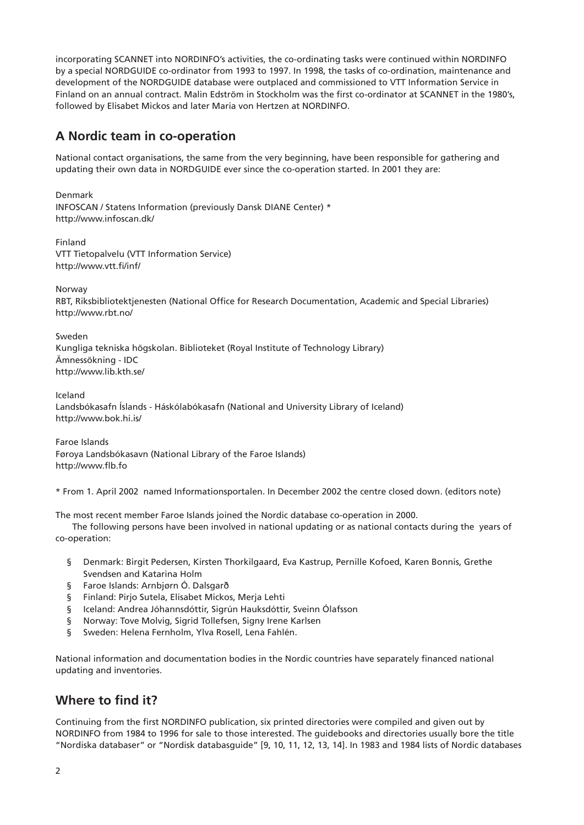incorporating SCANNET into NORDINFO's activities, the co-ordinating tasks were continued within NORDINFO by a special NORDGUIDE co-ordinator from 1993 to 1997. In 1998, the tasks of co-ordination, maintenance and development of the NORDGUIDE database were outplaced and commissioned to VTT Information Service in Finland on an annual contract. Malin Edström in Stockholm was the first co-ordinator at SCANNET in the 1980's, followed by Elisabet Mickos and later Maria von Hertzen at NORDINFO.

#### **A Nordic team in co-operation**

National contact organisations, the same from the very beginning, have been responsible for gathering and updating their own data in NORDGUIDE ever since the co-operation started. In 2001 they are:

Denmark INFOSCAN / Statens Information (previously Dansk DIANE Center) \* http://www.infoscan.dk/

Finland VTT Tietopalvelu (VTT Information Service) http://www.vtt.fi/inf/

**Norway** 

RBT, Riksbibliotektjenesten (National Office for Research Documentation, Academic and Special Libraries) http://www.rbt.no/

Sweden Kungliga tekniska högskolan. Biblioteket (Royal Institute of Technology Library) Ämnessökning - IDC

http://www.lib.kth.se/

Iceland Landsbókasafn Íslands - Háskólabókasafn (National and University Library of Iceland) http://www.bok.hi.is/

Faroe Islands Føroya Landsbókasavn (National Library of the Faroe Islands) http://www.flb.fo

\* From 1. April 2002 named Informationsportalen. In December 2002 the centre closed down. (editors note)

The most recent member Faroe Islands joined the Nordic database co-operation in 2000.

The following persons have been involved in national updating or as national contacts during the years of co-operation:

- § Denmark: Birgit Pedersen, Kirsten Thorkilgaard, Eva Kastrup, Pernille Kofoed, Karen Bonnis, Grethe Svendsen and Katarina Holm
- § Faroe Islands: Arnbjørn Ó. Dalsgarð
- § Finland: Pirjo Sutela, Elisabet Mickos, Merja Lehti
- § Iceland: Andrea Jóhannsdóttir, Sigrún Hauksdóttir, Sveinn Ólafsson
- § Norway: Tove Molvig, Sigrid Tollefsen, Signy Irene Karlsen
- § Sweden: Helena Fernholm, Ylva Rosell, Lena Fahlén.

National information and documentation bodies in the Nordic countries have separately financed national updating and inventories.

# **Where to find it?**

Continuing from the first NORDINFO publication, six printed directories were compiled and given out by NORDINFO from 1984 to 1996 for sale to those interested. The guidebooks and directories usually bore the title "Nordiska databaser" or "Nordisk databasguide" [9, 10, 11, 12, 13, 14]. In 1983 and 1984 lists of Nordic databases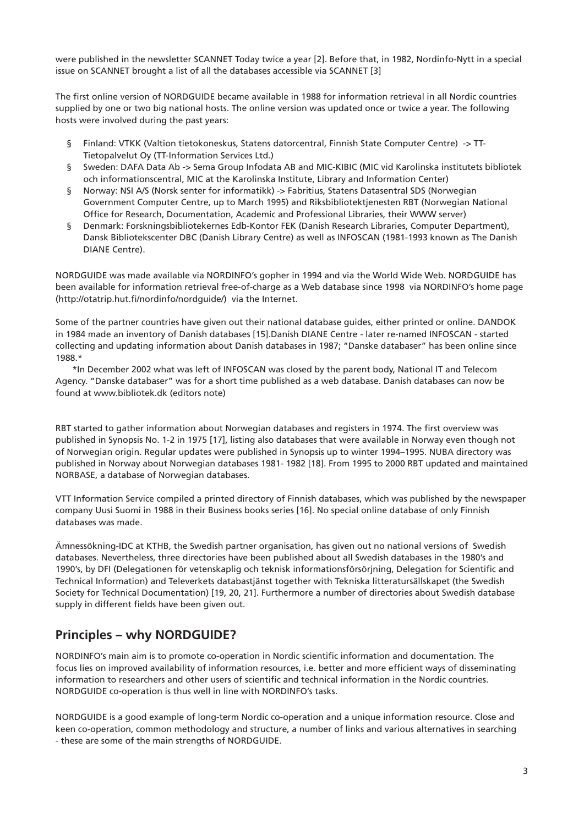were published in the newsletter SCANNET Today twice a year [2]. Before that, in 1982, Nordinfo-Nytt in a special issue on SCANNET brought a list of all the databases accessible via SCANNET [3]

The first online version of NORDGUIDE became available in 1988 for information retrieval in all Nordic countries supplied by one or two big national hosts. The online version was updated once or twice a year. The following hosts were involved during the past years:

- § Finland: VTKK (Valtion tietokoneskus, Statens datorcentral, Finnish State Computer Centre) -> TT-Tietopalvelut Oy (TT-Information Services Ltd.)
- § Sweden: DAFA Data Ab -> Sema Group Infodata AB and MIC-KIBIC (MIC vid Karolinska institutets bibliotek och informationscentral, MIC at the Karolinska Institute, Library and Information Center)
- § Norway: NSI A/S (Norsk senter for informatikk) -> Fabritius, Statens Datasentral SDS (Norwegian Government Computer Centre, up to March 1995) and Riksbibliotektjenesten RBT (Norwegian National Office for Research, Documentation, Academic and Professional Libraries, their WWW server)
- § Denmark: Forskningsbibliotekernes Edb-Kontor FEK (Danish Research Libraries, Computer Department), Dansk Bibliotekscenter DBC (Danish Library Centre) as well as INFOSCAN (1981-1993 known as The Danish DIANE Centre).

NORDGUIDE was made available via NORDINFO's gopher in 1994 and via the World Wide Web. NORDGUIDE has been available for information retrieval free-of-charge as a Web database since 1998 via NORDINFO's home page (http://otatrip.hut.fi/nordinfo/nordquide/) via the Internet.

Some of the partner countries have given out their national database guides, either printed or online. DANDOK in 1984 made an inventory of Danish databases [15].Danish DIANE Centre - later re-named INFOSCAN - started collecting and updating information about Danish databases in 1987; "Danske databaser" has been online since 1988.\*

\*In December 2002 what was left of INFOSCAN was closed by the parent body, National IT and Telecom Agency. "Danske databaser" was for a short time published as a web database. Danish databases can now be found at www.bibliotek.dk (editors note)

RBT started to gather information about Norwegian databases and registers in 1974. The first overview was published in Synopsis No. 1-2 in 1975 [17], listing also databases that were available in Norway even though not of Norwegian origin. Regular updates were published in Synopsis up to winter 1994–1995. NUBA directory was published in Norway about Norwegian databases 1981- 1982 [18]. From 1995 to 2000 RBT updated and maintained NORBASE, a database of Norwegian databases.

VTT Information Service compiled a printed directory of Finnish databases, which was published by the newspaper company Uusi Suomi in 1988 in their Business books series [16]. No special online database of only Finnish databases was made.

Ämnessökning-IDC at KTHB, the Swedish partner organisation, has given out no national versions of Swedish databases. Nevertheless, three directories have been published about all Swedish databases in the 1980's and 1990's, by DFI (Delegationen för vetenskaplig och teknisk informationsförsörjning, Delegation for Scientific and Technical Information) and Televerkets databastjänst together with Tekniska litteratursällskapet (the Swedish Society for Technical Documentation) [19, 20, 21]. Furthermore a number of directories about Swedish database supply in different fields have been given out.

# **Principles – why NORDGUIDE?**

NORDINFO's main aim is to promote co-operation in Nordic scientific information and documentation. The focus lies on improved availability of information resources, i.e. better and more efficient ways of disseminating information to researchers and other users of scientific and technical information in the Nordic countries. NORDGUIDE co-operation is thus well in line with NORDINFO's tasks.

NORDGUIDE is a good example of long-term Nordic co-operation and a unique information resource. Close and keen co-operation, common methodology and structure, a number of links and various alternatives in searching - these are some of the main strengths of NORDGUIDE.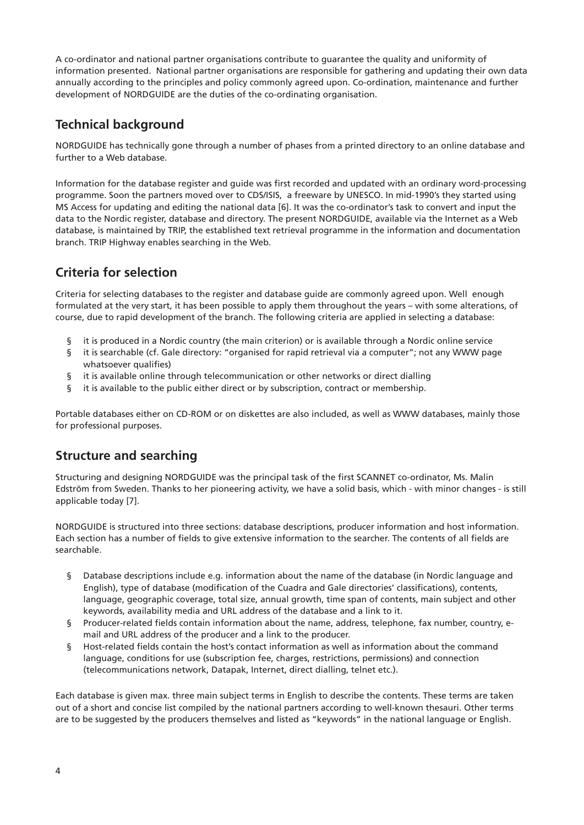A co-ordinator and national partner organisations contribute to guarantee the quality and uniformity of information presented. National partner organisations are responsible for gathering and updating their own data annually according to the principles and policy commonly agreed upon. Co-ordination, maintenance and further development of NORDGUIDE are the duties of the co-ordinating organisation.

# **Technical background**

NORDGUIDE has technically gone through a number of phases from a printed directory to an online database and further to a Web database.

Information for the database register and guide was first recorded and updated with an ordinary word-processing programme. Soon the partners moved over to CDS/ISIS, a freeware by UNESCO. In mid-1990's they started using MS Access for updating and editing the national data [6]. It was the co-ordinator's task to convert and input the data to the Nordic register, database and directory. The present NORDGUIDE, available via the Internet as a Web database, is maintained by TRIP, the established text retrieval programme in the information and documentation branch. TRIP Highway enables searching in the Web.

### **Criteria for selection**

Criteria for selecting databases to the register and database guide are commonly agreed upon. Well enough formulated at the very start, it has been possible to apply them throughout the years – with some alterations, of course, due to rapid development of the branch. The following criteria are applied in selecting a database:

- § it is produced in a Nordic country (the main criterion) or is available through a Nordic online service
- § it is searchable (cf. Gale directory: "organised for rapid retrieval via a computer"; not any WWW page whatsoever qualifies)
- § it is available online through telecommunication or other networks or direct dialling
- § it is available to the public either direct or by subscription, contract or membership.

Portable databases either on CD-ROM or on diskettes are also included, as well as WWW databases, mainly those for professional purposes.

# **Structure and searching**

Structuring and designing NORDGUIDE was the principal task of the first SCANNET co-ordinator, Ms. Malin Edström from Sweden. Thanks to her pioneering activity, we have a solid basis, which - with minor changes - is still applicable today [7].

NORDGUIDE is structured into three sections: database descriptions, producer information and host information. Each section has a number of fields to give extensive information to the searcher. The contents of all fields are searchable.

- § Database descriptions include e.g. information about the name of the database (in Nordic language and English), type of database (modification of the Cuadra and Gale directories' classifications), contents, language, geographic coverage, total size, annual growth, time span of contents, main subject and other keywords, availability media and URL address of the database and a link to it.
- § Producer-related fields contain information about the name, address, telephone, fax number, country, email and URL address of the producer and a link to the producer.
- § Host-related fields contain the host's contact information as well as information about the command language, conditions for use (subscription fee, charges, restrictions, permissions) and connection (telecommunications network, Datapak, Internet, direct dialling, telnet etc.).

Each database is given max. three main subject terms in English to describe the contents. These terms are taken out of a short and concise list compiled by the national partners according to well-known thesauri. Other terms are to be suggested by the producers themselves and listed as "keywords" in the national language or English.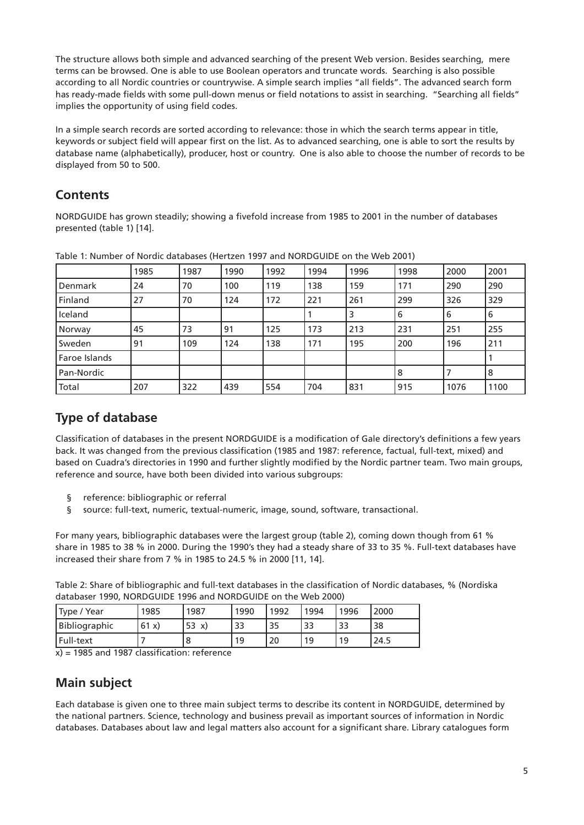The structure allows both simple and advanced searching of the present Web version. Besides searching, mere terms can be browsed. One is able to use Boolean operators and truncate words. Searching is also possible according to all Nordic countries or countrywise. A simple search implies "all fields". The advanced search form has ready-made fields with some pull-down menus or field notations to assist in searching. "Searching all fields" implies the opportunity of using field codes.

In a simple search records are sorted according to relevance: those in which the search terms appear in title, keywords or subject field will appear first on the list. As to advanced searching, one is able to sort the results by database name (alphabetically), producer, host or country. One is also able to choose the number of records to be displayed from 50 to 500.

## **Contents**

NORDGUIDE has grown steadily; showing a fivefold increase from 1985 to 2001 in the number of databases presented (table 1) [14].

|               | 1985 | 1987 | 1990 | 1992 | 1994 | 1996 | 1998 | 2000 | 2001 |
|---------------|------|------|------|------|------|------|------|------|------|
| Denmark       | 24   | 70   | 100  | 119  | 138  | 159  | 171  | 290  | 290  |
| Finland       | 27   | 70   | 124  | 172  | 221  | 261  | 299  | 326  | 329  |
| Iceland       |      |      |      |      |      |      | 6    | 6    | 6    |
| Norway        | 45   | 73   | 91   | 125  | 173  | 213  | 231  | 251  | 255  |
| Sweden        | 91   | 109  | 124  | 138  | 171  | 195  | 200  | 196  | 211  |
| Faroe Islands |      |      |      |      |      |      |      |      |      |
| Pan-Nordic    |      |      |      |      |      |      | 8    |      | 8    |
| Total         | 207  | 322  | 439  | 554  | 704  | 831  | 915  | 1076 | 1100 |

Table 1: Number of Nordic databases (Hertzen 1997 and NORDGUIDE on the Web 2001)

# **Type of database**

Classification of databases in the present NORDGUIDE is a modification of Gale directory's definitions a few years back. It was changed from the previous classification (1985 and 1987: reference, factual, full-text, mixed) and based on Cuadra's directories in 1990 and further slightly modified by the Nordic partner team. Two main groups, reference and source, have both been divided into various subgroups:

- § reference: bibliographic or referral
- § source: full-text, numeric, textual-numeric, image, sound, software, transactional.

For many years, bibliographic databases were the largest group (table 2), coming down though from 61 % share in 1985 to 38 % in 2000. During the 1990's they had a steady share of 33 to 35 %. Full-text databases have increased their share from 7 % in 1985 to 24.5 % in 2000 [11, 14].

Table 2: Share of bibliographic and full-text databases in the classification of Nordic databases, % (Nordiska databaser 1990, NORDGUIDE 1996 and NORDGUIDE on the Web 2000)

| Type / Year   | 1985 | 1987     | 1990 | 1992 | 1994 | 1996 | 2000 |
|---------------|------|----------|------|------|------|------|------|
| Bibliographic | 61x) | 53<br>X) | 33   | 35   | 33   | 33   | 38   |
| Full-text     |      | ŏ        | 19   | 20   | 19   | 19   | 24.5 |

 $x$ ) = 1985 and 1987 classification: reference

# **Main subject**

Each database is given one to three main subject terms to describe its content in NORDGUIDE, determined by the national partners. Science, technology and business prevail as important sources of information in Nordic databases. Databases about law and legal matters also account for a significant share. Library catalogues form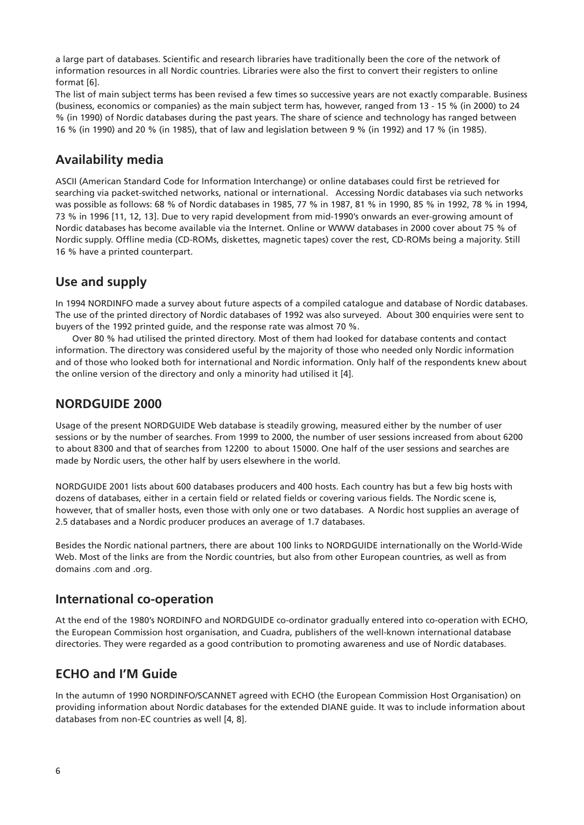a large part of databases. Scientific and research libraries have traditionally been the core of the network of information resources in all Nordic countries. Libraries were also the first to convert their registers to online format [6].

The list of main subject terms has been revised a few times so successive years are not exactly comparable. Business (business, economics or companies) as the main subject term has, however, ranged from 13 - 15 % (in 2000) to 24 % (in 1990) of Nordic databases during the past years. The share of science and technology has ranged between 16 % (in 1990) and 20 % (in 1985), that of law and legislation between 9 % (in 1992) and 17 % (in 1985).

#### **Availability media**

ASCII (American Standard Code for Information Interchange) or online databases could first be retrieved for searching via packet-switched networks, national or international. Accessing Nordic databases via such networks was possible as follows: 68 % of Nordic databases in 1985, 77 % in 1987, 81 % in 1990, 85 % in 1992, 78 % in 1994, 73 % in 1996 [11, 12, 13]. Due to very rapid development from mid-1990's onwards an ever-growing amount of Nordic databases has become available via the Internet. Online or WWW databases in 2000 cover about 75 % of Nordic supply. Offline media (CD-ROMs, diskettes, magnetic tapes) cover the rest, CD-ROMs being a majority. Still 16 % have a printed counterpart.

### **Use and supply**

In 1994 NORDINFO made a survey about future aspects of a compiled catalogue and database of Nordic databases. The use of the printed directory of Nordic databases of 1992 was also surveyed. About 300 enquiries were sent to buyers of the 1992 printed guide, and the response rate was almost 70 %.

Over 80 % had utilised the printed directory. Most of them had looked for database contents and contact information. The directory was considered useful by the majority of those who needed only Nordic information and of those who looked both for international and Nordic information. Only half of the respondents knew about the online version of the directory and only a minority had utilised it [4].

#### **NORDGUIDE 2000**

Usage of the present NORDGUIDE Web database is steadily growing, measured either by the number of user sessions or by the number of searches. From 1999 to 2000, the number of user sessions increased from about 6200 to about 8300 and that of searches from 12200 to about 15000. One half of the user sessions and searches are made by Nordic users, the other half by users elsewhere in the world.

NORDGUIDE 2001 lists about 600 databases producers and 400 hosts. Each country has but a few big hosts with dozens of databases, either in a certain field or related fields or covering various fields. The Nordic scene is, however, that of smaller hosts, even those with only one or two databases. A Nordic host supplies an average of 2.5 databases and a Nordic producer produces an average of 1.7 databases.

Besides the Nordic national partners, there are about 100 links to NORDGUIDE internationally on the World-Wide Web. Most of the links are from the Nordic countries, but also from other European countries, as well as from domains .com and .org.

#### **International co-operation**

At the end of the 1980's NORDINFO and NORDGUIDE co-ordinator gradually entered into co-operation with ECHO, the European Commission host organisation, and Cuadra, publishers of the well-known international database directories. They were regarded as a good contribution to promoting awareness and use of Nordic databases.

### **ECHO and I'M Guide**

In the autumn of 1990 NORDINFO/SCANNET agreed with ECHO (the European Commission Host Organisation) on providing information about Nordic databases for the extended DIANE guide. It was to include information about databases from non-EC countries as well [4, 8].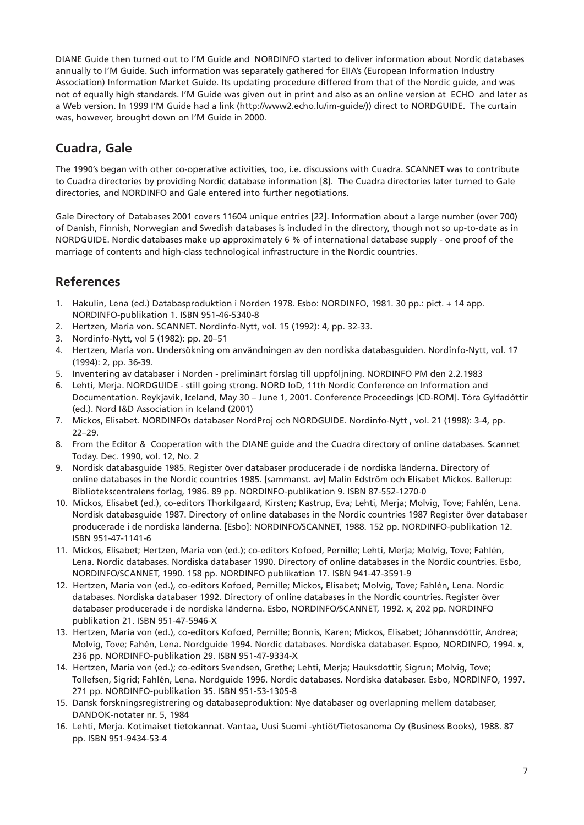DIANE Guide then turned out to I'M Guide and NORDINFO started to deliver information about Nordic databases annually to I'M Guide. Such information was separately gathered for EIIA's (European Information Industry Association) Information Market Guide. Its updating procedure differed from that of the Nordic guide, and was not of equally high standards. I'M Guide was given out in print and also as an online version at ECHO and later as a Web version. In 1999 I'M Guide had a link (http://www2.echo.lu/im-guide/)) direct to NORDGUIDE. The curtain was, however, brought down on I'M Guide in 2000.

# **Cuadra, Gale**

The 1990's began with other co-operative activities, too, i.e. discussions with Cuadra. SCANNET was to contribute to Cuadra directories by providing Nordic database information [8]. The Cuadra directories later turned to Gale directories, and NORDINFO and Gale entered into further negotiations.

Gale Directory of Databases 2001 covers 11604 unique entries [22]. Information about a large number (over 700) of Danish, Finnish, Norwegian and Swedish databases is included in the directory, though not so up-to-date as in NORDGUIDE. Nordic databases make up approximately 6 % of international database supply - one proof of the marriage of contents and high-class technological infrastructure in the Nordic countries.

### **References**

- 1. Hakulin, Lena (ed.) Databasproduktion i Norden 1978. Esbo: NORDINFO, 1981. 30 pp.: pict. + 14 app. NORDINFO-publikation 1. ISBN 951-46-5340-8
- 2. Hertzen, Maria von. SCANNET. Nordinfo-Nytt, vol. 15 (1992): 4, pp. 32-33.
- 3. Nordinfo-Nytt, vol 5 (1982): pp. 20–51
- 4. Hertzen, Maria von. Undersökning om användningen av den nordiska databasguiden. Nordinfo-Nytt, vol. 17 (1994): 2, pp. 36-39.
- 5. Inventering av databaser i Norden preliminärt förslag till uppföljning. NORDINFO PM den 2.2.1983
- 6. Lehti, Merja. NORDGUIDE still going strong. NORD IoD, 11th Nordic Conference on Information and Documentation. Reykjavik, Iceland, May 30 – June 1, 2001. Conference Proceedings [CD-ROM]. Tóra Gylfadóttir (ed.). Nord I&D Association in Iceland (2001)
- 7. Mickos, Elisabet. NORDINFOs databaser NordProj och NORDGUIDE. Nordinfo-Nytt , vol. 21 (1998): 3-4, pp. 22–29.
- 8. From the Editor & Cooperation with the DIANE guide and the Cuadra directory of online databases. Scannet Today. Dec. 1990, vol. 12, No. 2
- 9. Nordisk databasguide 1985. Register över databaser producerade i de nordiska länderna. Directory of online databases in the Nordic countries 1985. [sammanst. av] Malin Edström och Elisabet Mickos. Ballerup: Bibliotekscentralens forlag, 1986. 89 pp. NORDINFO-publikation 9. ISBN 87-552-1270-0
- 10. Mickos, Elisabet (ed.), co-editors Thorkilgaard, Kirsten; Kastrup, Eva; Lehti, Merja; Molvig, Tove; Fahlén, Lena. Nordisk databasguide 1987. Directory of online databases in the Nordic countries 1987 Register över databaser producerade i de nordiska länderna. [Esbo]: NORDINFO/SCANNET, 1988. 152 pp. NORDINFO-publikation 12. ISBN 951-47-1141-6
- 11. Mickos, Elisabet; Hertzen, Maria von (ed.); co-editors Kofoed, Pernille; Lehti, Merja; Molvig, Tove; Fahlén, Lena. Nordic databases. Nordiska databaser 1990. Directory of online databases in the Nordic countries. Esbo, NORDINFO/SCANNET, 1990. 158 pp. NORDINFO publikation 17. ISBN 941-47-3591-9
- 12. Hertzen, Maria von (ed.), co-editors Kofoed, Pernille; Mickos, Elisabet; Molvig, Tove; Fahlén, Lena. Nordic databases. Nordiska databaser 1992. Directory of online databases in the Nordic countries. Register över databaser producerade i de nordiska länderna. Esbo, NORDINFO/SCANNET, 1992. x, 202 pp. NORDINFO publikation 21. ISBN 951-47-5946-X
- 13. Hertzen, Maria von (ed.), co-editors Kofoed, Pernille; Bonnis, Karen; Mickos, Elisabet; Jóhannsdóttir, Andrea; Molvig, Tove; Fahén, Lena. Nordguide 1994. Nordic databases. Nordiska databaser. Espoo, NORDINFO, 1994. x, 236 pp. NORDINFO-publikation 29. ISBN 951-47-9334-X
- 14. Hertzen, Maria von (ed.); co-editors Svendsen, Grethe; Lehti, Merja; Hauksdottir, Sigrun; Molvig, Tove; Tollefsen, Sigrid; Fahlén, Lena. Nordguide 1996. Nordic databases. Nordiska databaser. Esbo, NORDINFO, 1997. 271 pp. NORDINFO-publikation 35. ISBN 951-53-1305-8
- 15. Dansk forskningsregistrering og databaseproduktion: Nye databaser og overlapning mellem databaser, DANDOK-notater nr. 5, 1984
- 16. Lehti, Merja. Kotimaiset tietokannat. Vantaa, Uusi Suomi -yhtiöt/Tietosanoma Oy (Business Books), 1988. 87 pp. ISBN 951-9434-53-4